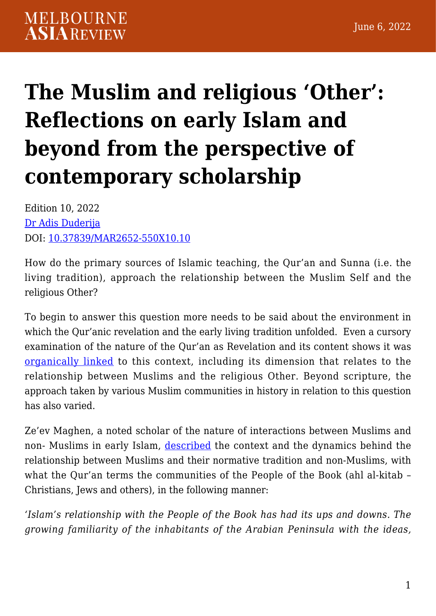## **[The Muslim and religious 'Other':](https://melbourneasiareview.edu.au/the-muslim-and-religious-other-reflections-on-early-islam-and-beyond-from-the-perspective-of-contemporary-scholarship/) [Reflections on early Islam and](https://melbourneasiareview.edu.au/the-muslim-and-religious-other-reflections-on-early-islam-and-beyond-from-the-perspective-of-contemporary-scholarship/) [beyond from the perspective of](https://melbourneasiareview.edu.au/the-muslim-and-religious-other-reflections-on-early-islam-and-beyond-from-the-perspective-of-contemporary-scholarship/) [contemporary scholarship](https://melbourneasiareview.edu.au/the-muslim-and-religious-other-reflections-on-early-islam-and-beyond-from-the-perspective-of-contemporary-scholarship/)**

Edition 10, 2022 [Dr Adis Duderija](https://experts.griffith.edu.au/7439-adis-duderija) DOI: 10.37839/MAR2652-550X10.10

How do the primary sources of Islamic teaching, the Qur'an and Sunna (i.e. the living tradition), approach the relationship between the Muslim Self and the religious Other?

To begin to answer this question more needs to be said about the environment in which the Qur'anic revelation and the early living tradition unfolded. Even a cursory examination of the nature of the Qur'an as Revelation and its content shows it was [organically linked](https://press.princeton.edu/books/hardcover/9780691059501/the-qurans-self-image) to this context, including its dimension that relates to the relationship between Muslims and the religious Other. Beyond scripture, the approach taken by various Muslim communities in history in relation to this question has also varied.

Ze'ev Maghen, a noted scholar of the nature of interactions between Muslims and non- Muslims in early Islam, [described](https://www.jstor.org/stable/3399421) the context and the dynamics behind the relationship between Muslims and their normative tradition and non-Muslims, with what the Qur'an terms the communities of the People of the Book (ahl al-kitab – Christians, Jews and others), in the following manner:

*'Islam's relationship with the People of the Book has had its ups and downs. The growing familiarity of the inhabitants of the Arabian Peninsula with the ideas,*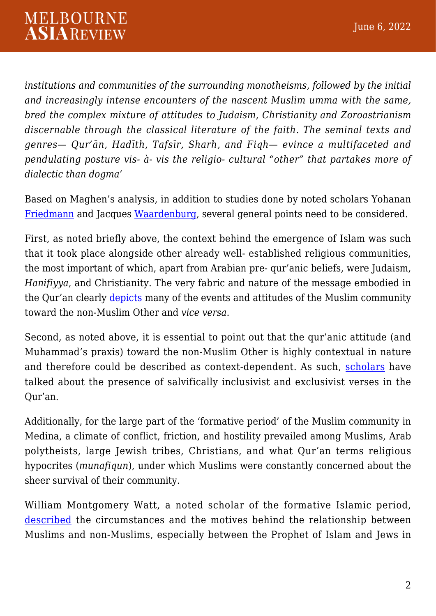*institutions and communities of the surrounding monotheisms, followed by the initial and increasingly intense encounters of the nascent Muslim umma with the same, bred the complex mixture of attitudes to Judaism, Christianity and Zoroastrianism discernable through the classical literature of the faith. The seminal texts and genres— Qur'ān, Hadīth, Tafsīr, Sharh, and Fiqh— evince a multifaceted and pendulating posture vis- à- vis the religio- cultural "other" that partakes more of dialectic than dogma'*

Based on Maghen's analysis, in addition to studies done by noted scholars Yohanan [Friedmann](https://www.cambridge.org/core/books/tolerance-and-coercion-in-islam/603974A9EFEDC7FBD00B38D0845AECAA) and Jacques [Waardenburg](https://www.degruyter.com/document/doi/10.1515/9783110200959/html?lang=en), several general points need to be considered.

First, as noted briefly above, the context behind the emergence of Islam was such that it took place alongside other already well- established religious communities, the most important of which, apart from Arabian pre- qur'anic beliefs, were Judaism, *Hanifiyya*, and Christianity. The very fabric and nature of the message embodied in the Qur'an clearly [depicts](https://press.princeton.edu/books/hardcover/9780691059501/the-qurans-self-image) many of the events and attitudes of the Muslim community toward the non-Muslim Other and *vice versa*.

Second, as noted above, it is essential to point out that the qur'anic attitude (and Muhammad's praxis) toward the non-Muslim Other is highly contextual in nature and therefore could be described as context-dependent. As such, [scholars](https://www.researchgate.net/publication/281930707_The_Question_of_Salvation_of_Non-Muslims_The_Exegesis_of_Muhammad_Asad) have talked about the presence of salvifically inclusivist and exclusivist verses in the Qur'an.

Additionally, for the large part of the 'formative period' of the Muslim community in Medina, a climate of conflict, friction, and hostility prevailed among Muslims, Arab polytheists, large Jewish tribes, Christians, and what Qur'an terms religious hypocrites (*munafiqun*), under which Muslims were constantly concerned about the sheer survival of their community.

William Montgomery Watt, a noted scholar of the formative Islamic period, [described](https://www.amazon.com.au/Muhammad-at-Medina-Montgomery-Watt/dp/1298492777) the circumstances and the motives behind the relationship between Muslims and non-Muslims, especially between the Prophet of Islam and Jews in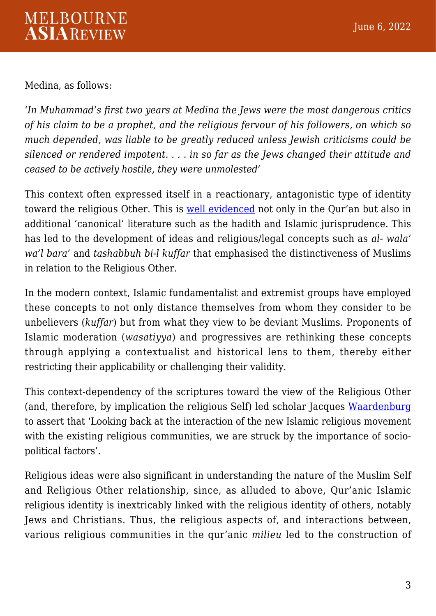Medina, as follows:

'*In Muhammad's first two years at Medina the Jews were the most dangerous critics of his claim to be a prophet, and the religious fervour of his followers, on which so much depended, was liable to be greatly reduced unless Jewish criticisms could be silenced or rendered impotent. . . . in so far as the Jews changed their attitude and ceased to be actively hostile, they were unmolested'*

This context often expressed itself in a reactionary, antagonistic type of identity toward the religious Other. This is [well evidenced](https://press.princeton.edu/books/hardcover/9780691059501/the-qurans-self-image) not only in the Qur'an but also in additional 'canonical' literature such as the hadith and Islamic jurisprudence. This has led to the development of ideas and religious/legal concepts such as *al- wala' wa'l bara'* and *tashabbuh bi-l kuffar* that emphasised the distinctiveness of Muslims in relation to the Religious Other.

In the modern context, Islamic fundamentalist and extremist groups have employed these concepts to not only distance themselves from whom they consider to be unbelievers (*kuffar*) but from what they view to be deviant Muslims. Proponents of Islamic moderation (*wasatiyya*) and progressives are rethinking these concepts through applying a contextualist and historical lens to them, thereby either restricting their applicability or challenging their validity.

This context-dependency of the scriptures toward the view of the Religious Other (and, therefore, by implication the religious Self) led scholar Jacques [Waardenburg](https://www.degruyter.com/document/doi/10.1515/9783110200959/html?lang=en) to assert that 'Looking back at the interaction of the new Islamic religious movement with the existing religious communities, we are struck by the importance of sociopolitical factors'.

Religious ideas were also significant in understanding the nature of the Muslim Self and Religious Other relationship, since, as alluded to above, Qur'anic Islamic religious identity is inextricably linked with the religious identity of others, notably Jews and Christians. Thus, the religious aspects of, and interactions between, various religious communities in the qur'anic *milieu* led to the construction of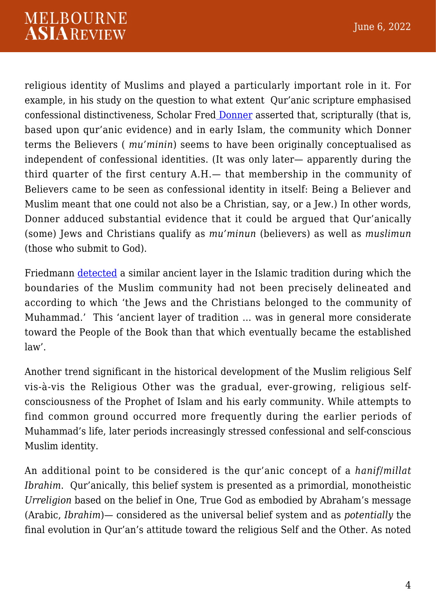religious identity of Muslims and played a particularly important role in it. For example, in his study on the question to what extent Qur'anic scripture emphasised confessional distinctiveness, Scholar Fred [Donner](https://www.hup.harvard.edu/catalog.php?isbn=9780674064140) asserted that, scripturally (that is, based upon qur'anic evidence) and in early Islam, the community which Donner terms the Believers ( *mu'minin*) seems to have been originally conceptualised as independent of confessional identities. (It was only later— apparently during the third quarter of the first century A.H.— that membership in the community of Believers came to be seen as confessional identity in itself: Being a Believer and Muslim meant that one could not also be a Christian, say, or a Jew.) In other words, Donner adduced substantial evidence that it could be argued that Qur'anically (some) Jews and Christians qualify as *mu'minun* (believers) as well as *muslimun* (those who submit to God).

Friedmann [detected](https://www.cambridge.org/core/books/tolerance-and-coercion-in-islam/603974A9EFEDC7FBD00B38D0845AECAA) a similar ancient layer in the Islamic tradition during which the boundaries of the Muslim community had not been precisely delineated and according to which 'the Jews and the Christians belonged to the community of Muhammad.' This 'ancient layer of tradition … was in general more considerate toward the People of the Book than that which eventually became the established law'.

Another trend significant in the historical development of the Muslim religious Self vis-à-vis the Religious Other was the gradual, ever-growing, religious selfconsciousness of the Prophet of Islam and his early community. While attempts to find common ground occurred more frequently during the earlier periods of Muhammad's life, later periods increasingly stressed confessional and self-conscious Muslim identity.

An additional point to be considered is the qur'anic concept of a *hanif*/*millat Ibrahim*. Qur'anically, this belief system is presented as a primordial, monotheistic *Urreligion* based on the belief in One, True God as embodied by Abraham's message (Arabic, *Ibrahim*)— considered as the universal belief system and as *potentially* the final evolution in Qur'an's attitude toward the religious Self and the Other. As noted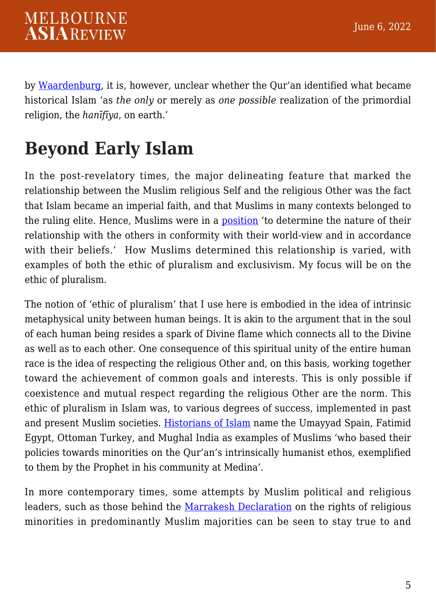by [Waardenburg,](https://protect-au.mimecast.com/s/MwSTCK1qwBS2NR6ZwCM5bG8?domain=degruyter.com) it is, however, unclear whether the Qur'an identified what became historical Islam 'as *the only* or merely as *one possible* realization of the primordial religion, the *hanīfīya*, on earth.'

## **Beyond Early Islam**

In the post-revelatory times, the major delineating feature that marked the relationship between the Muslim religious Self and the religious Other was the fact that Islam became an imperial faith, and that Muslims in many contexts belonged to the ruling elite. Hence, Muslims were in a [position](https://www.cambridge.org/core/books/tolerance-and-coercion-in-islam/603974A9EFEDC7FBD00B38D0845AECAA) 'to determine the nature of their relationship with the others in conformity with their world-view and in accordance with their beliefs.' How Muslims determined this relationship is varied, with examples of both the ethic of pluralism and exclusivism. My focus will be on the ethic of pluralism.

The notion of 'ethic of pluralism' that I use here is embodied in the idea of intrinsic metaphysical unity between human beings. It is akin to the argument that in the soul of each human being resides a spark of Divine flame which connects all to the Divine as well as to each other. One consequence of this spiritual unity of the entire human race is the idea of respecting the religious Other and, on this basis, working together toward the achievement of common goals and interests. This is only possible if coexistence and mutual respect regarding the religious Other are the norm. This ethic of pluralism in Islam was, to various degrees of success, implemented in past and present Muslim societies. [Historians of Islam](https://escholarship.mcgill.ca/downloads/v979v339k?locale=en) name the Umayyad Spain, Fatimid Egypt, Ottoman Turkey, and Mughal India as examples of Muslims 'who based their policies towards minorities on the Qur'an's intrinsically humanist ethos, exemplified to them by the Prophet in his community at Medina'.

In more contemporary times, some attempts by Muslim political and religious leaders, such as those behind the [Marrakesh Declaration](https://www.marrakeshdeclaration.org/) on the rights of religious minorities in predominantly Muslim majorities can be seen to stay true to and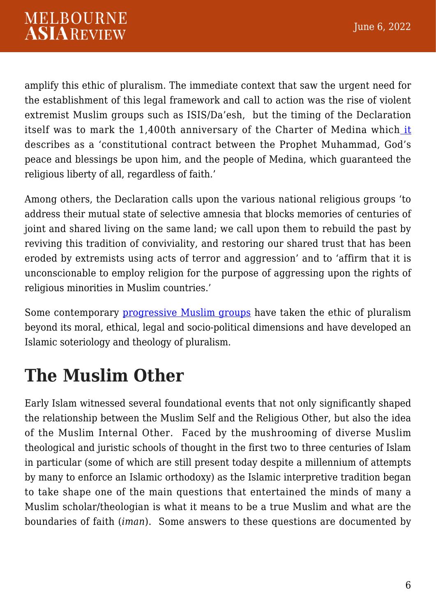amplify this ethic of pluralism. The immediate context that saw the urgent need for the establishment of this legal framework and call to action was the rise of violent extremist Muslim groups such as ISIS/Da'esh, but the timing of the Declaration itself was to mark the 1,400th anniversary of the Charter of Medina which [it](https://www.marrakeshdeclaration.org/) describes as a 'constitutional contract between the Prophet Muhammad, God's peace and blessings be upon him, and the people of Medina, which guaranteed the religious liberty of all, regardless of faith.'

Among others, the Declaration calls upon the various national religious groups 'to address their mutual state of selective amnesia that blocks memories of centuries of joint and shared living on the same land; we call upon them to rebuild the past by reviving this tradition of conviviality, and restoring our shared trust that has been eroded by extremists using acts of terror and aggression' and to 'affirm that it is unconscionable to employ religion for the purpose of aggressing upon the rights of religious minorities in Muslim countries.'

Some contemporary [progressive Muslim groups](https://www.routledge.com/The-Imperatives-of-Progressive-Islam/Duderija/p/book/9781138364110#:~:text=Book%20Description,-With%20the%20proliferation&text=This%20book%20brings%20together%20the,hermeneutics%20in%20the%20Islamic%20tradition.) have taken the ethic of pluralism beyond its moral, ethical, legal and socio-political dimensions and have developed an Islamic soteriology and theology of pluralism.

## **The Muslim Other**

Early Islam witnessed several foundational events that not only significantly shaped the relationship between the Muslim Self and the Religious Other, but also the idea of the Muslim Internal Other. Faced by the mushrooming of diverse Muslim theological and juristic schools of thought in the first two to three centuries of Islam in particular (some of which are still present today despite a millennium of attempts by many to enforce an Islamic orthodoxy) as the Islamic interpretive tradition began to take shape one of the main questions that entertained the minds of many a Muslim scholar/theologian is what it means to be a true Muslim and what are the boundaries of faith (*iman*). Some answers to these questions are documented by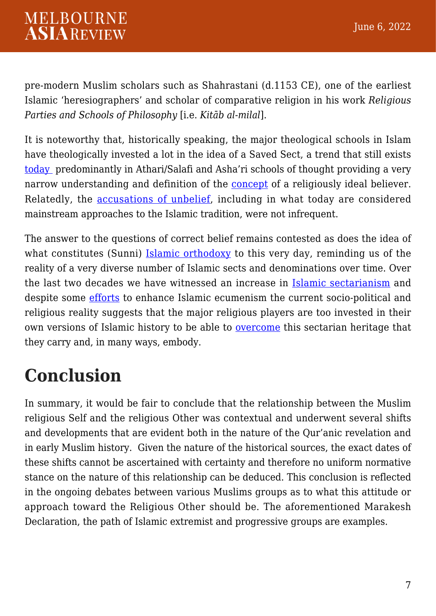pre-modern Muslim scholars such as Shahrastani (d.1153 CE), one of the earliest Islamic 'heresiographers' and scholar of comparative religion in his work *Religious Parties and Schools of Philosophy* [i.e. *Kitāb al-milal*].

It is noteworthy that, historically speaking, the major theological schools in Islam have theologically invested a lot in the idea of a Saved Sect, a trend that still exists [today](https://brill.com/view/title/60073) predominantly in Athari/Salafi and Asha'ri schools of thought providing a very narrow understanding and definition of the [concept](https://link.springer.com/book/10.1057/9780230337862) of a religiously ideal believer. Relatedly, the [accusations of unbelief](https://brill.com/view/title/32385), including in what today are considered mainstream approaches to the Islamic tradition, were not infrequent.

The answer to the questions of correct belief remains contested as does the idea of what constitutes (Sunni) [Islamic orthodoxy](https://chechnyaconference.org/material/chechnya-conference-statement-english.pdf) to this very day, reminding us of the reality of a very diverse number of Islamic sects and denominations over time. Over the last two decades we have witnessed an increase in [Islamic sectarianism](https://melbourneasiareview.edu.au/how-progressive-cosmopolitan-and-social-justice-oriented-islam-can-help-overcome-sectarianism/?fbclid=IwAR0oZuXq0PzQOo5VQk4p8fLAczyRnJuKsevAvXYuSqpSaHW3L5T9u47RNLs) and despite some [efforts](https://ammanmessage.com/) to enhance Islamic ecumenism the current socio-political and religious reality suggests that the major religious players are too invested in their own versions of Islamic history to be able to **[overcome](https://melbourneasiareview.edu.au/how-progressive-cosmopolitan-and-social-justice-oriented-islam-can-help-overcome-sectarianism/?fbclid=IwAR0oZuXq0PzQOo5VQk4p8fLAczyRnJuKsevAvXYuSqpSaHW3L5T9u47RNLs)** this sectarian heritage that they carry and, in many ways, embody.

## **Conclusion**

In summary, it would be fair to conclude that the relationship between the Muslim religious Self and the religious Other was contextual and underwent several shifts and developments that are evident both in the nature of the Qur'anic revelation and in early Muslim history. Given the nature of the historical sources, the exact dates of these shifts cannot be ascertained with certainty and therefore no uniform normative stance on the nature of this relationship can be deduced. This conclusion is reflected in the ongoing debates between various Muslims groups as to what this attitude or approach toward the Religious Other should be. The aforementioned Marakesh Declaration, the path of Islamic extremist and progressive groups are examples.